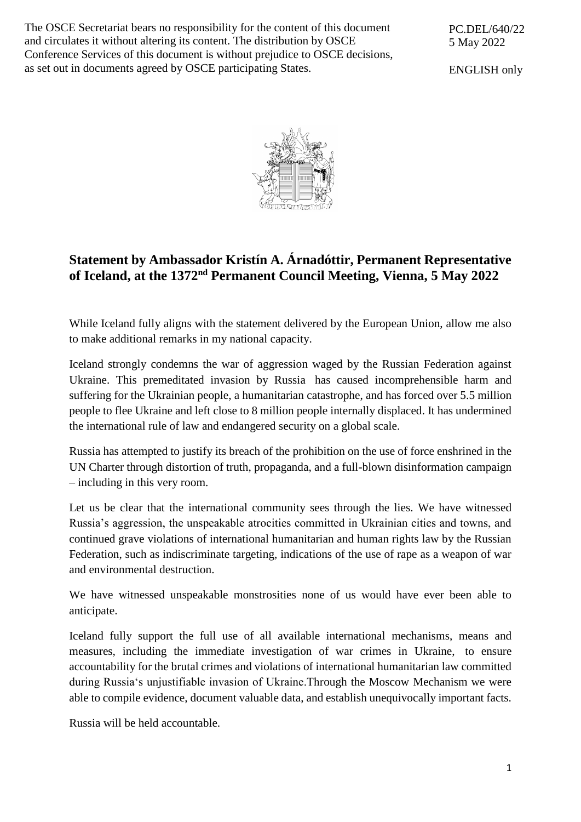The OSCE Secretariat bears no responsibility for the content of this document and circulates it without altering its content. The distribution by OSCE Conference Services of this document is without prejudice to OSCE decisions, as set out in documents agreed by OSCE participating States.

ENGLISH only



## **Statement by Ambassador Kristín A. Árnadóttir, Permanent Representative of Iceland, at the 1372 nd Permanent Council Meeting, Vienna, 5 May 2022**

While Iceland fully aligns with the statement delivered by the European Union, allow me also to make additional remarks in my national capacity.

Iceland strongly condemns the war of aggression waged by the Russian Federation against Ukraine. This premeditated invasion by Russia has caused incomprehensible harm and suffering for the Ukrainian people, a humanitarian catastrophe, and has forced over 5.5 million people to flee Ukraine and left close to 8 million people internally displaced. It has undermined the international rule of law and endangered security on a global scale.

Russia has attempted to justify its breach of the prohibition on the use of force enshrined in the UN Charter through distortion of truth, propaganda, and a full-blown disinformation campaign – including in this very room.

Let us be clear that the international community sees through the lies. We have witnessed Russia's aggression, the unspeakable atrocities committed in Ukrainian cities and towns, and continued grave violations of international humanitarian and human rights law by the Russian Federation, such as indiscriminate targeting, indications of the use of rape as a weapon of war and environmental destruction.

We have witnessed unspeakable monstrosities none of us would have ever been able to anticipate.

Iceland fully support the full use of all available international mechanisms, means and measures, including the immediate investigation of war crimes in Ukraine, to ensure accountability for the brutal crimes and violations of international humanitarian law committed during Russia's unjustifiable invasion of Ukraine.Through the Moscow Mechanism we were able to compile evidence, document valuable data, and establish unequivocally important facts.

Russia will be held accountable.